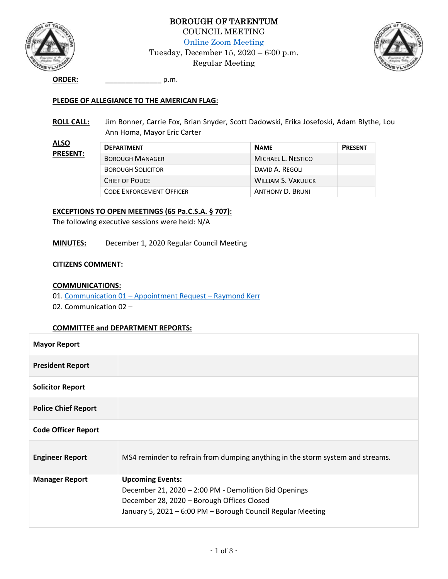

**ALSO** 

BOROUGH OF TARENTUM COUNCIL MEETING [Online Zoom Meeting](https://us02web.zoom.us/j/7242241818) Tuesday, December 15, 2020 – 6:00 p.m. Regular Meeting



**ORDER:** \_\_\_\_\_\_\_\_\_\_\_\_\_\_ p.m.

#### **PLEDGE OF ALLEGIANCE TO THE AMERICAN FLAG:**

**ROLL CALL:** Jim Bonner, Carrie Fox, Brian Snyder, Scott Dadowski, Erika Josefoski, Adam Blythe, Lou Ann Homa, Mayor Eric Carter

| <u>ALSO</u><br><b>PRESENT:</b> | <b>DEPARTMENT</b>               | <b>NAME</b>                | <b>PRESENT</b> |
|--------------------------------|---------------------------------|----------------------------|----------------|
|                                | <b>BOROUGH MANAGER</b>          | MICHAEL L. NESTICO         |                |
|                                | <b>BOROUGH SOLICITOR</b>        | DAVID A. REGOLI            |                |
|                                | CHIEF OF POLICE                 | <b>WILLIAM S. VAKULICK</b> |                |
|                                | <b>CODE ENFORCEMENT OFFICER</b> | <b>ANTHONY D. BRUNI</b>    |                |

#### **EXCEPTIONS TO OPEN MEETINGS (65 Pa.C.S.A. § 707):**

The following executive sessions were held: N/A

**MINUTES:** December 1, 2020 Regular Council Meeting

#### **CITIZENS COMMENT:**

#### **COMMUNICATIONS:**

- 01. Communication 01 [Appointment Request](http://tarentumboro.com/wp-content/uploads/2020/12/Communication-01-Appointment-Request.pdf)  Raymond Kerr
- 02. Communication 02 –

#### **COMMITTEE and DEPARTMENT REPORTS:**

| <b>Mayor Report</b>        |                                                                                                                                                                                               |
|----------------------------|-----------------------------------------------------------------------------------------------------------------------------------------------------------------------------------------------|
| <b>President Report</b>    |                                                                                                                                                                                               |
| <b>Solicitor Report</b>    |                                                                                                                                                                                               |
| <b>Police Chief Report</b> |                                                                                                                                                                                               |
| <b>Code Officer Report</b> |                                                                                                                                                                                               |
| <b>Engineer Report</b>     | MS4 reminder to refrain from dumping anything in the storm system and streams.                                                                                                                |
| <b>Manager Report</b>      | <b>Upcoming Events:</b><br>December 21, 2020 - 2:00 PM - Demolition Bid Openings<br>December 28, 2020 - Borough Offices Closed<br>January 5, 2021 - 6:00 PM - Borough Council Regular Meeting |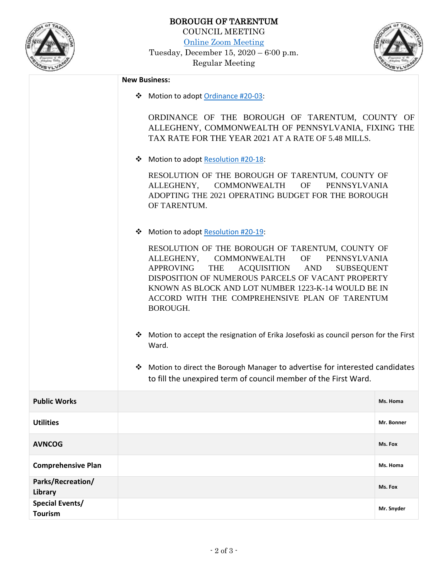

**Special Events/**

**Tourism**

[Online Zoom Meeting](https://us02web.zoom.us/j/7242241818)

Tuesday, December 15, 2020 – 6:00 p.m. Regular Meeting



**Mr. Snyder**

## **New Business:** ❖ Motion to adopt [Ordinance #20-03:](http://tarentumboro.com/wp-content/uploads/2020/12/20-03-Tax-Rate-Ordinance-Draft.pdf) ORDINANCE OF THE BOROUGH OF TARENTUM, COUNTY OF ALLEGHENY, COMMONWEALTH OF PENNSYLVANIA, FIXING THE TAX RATE FOR THE YEAR 2021 AT A RATE OF 5.48 MILLS. ❖ Motion to adopt [Resolution #20-18:](http://tarentumboro.com/wp-content/uploads/2020/12/R20-18-Operating-Budget-2021-Draft.pdf) RESOLUTION OF THE BOROUGH OF TARENTUM, COUNTY OF ALLEGHENY, COMMONWEALTH OF PENNSYLVANIA ADOPTING THE 2021 OPERATING BUDGET FOR THE BOROUGH OF TARENTUM. ❖ Motion to adopt [Resolution #20-19:](http://tarentumboro.com/wp-content/uploads/2020/12/R20-19-Vacant-Property-Recovery-Program-1223-K-14-Draft.pdf) RESOLUTION OF THE BOROUGH OF TARENTUM, COUNTY OF ALLEGHENY, COMMONWEALTH OF PENNSYLVANIA APPROVING THE ACQUISITION AND SUBSEQUENT DISPOSITION OF NUMEROUS PARCELS OF VACANT PROPERTY KNOWN AS BLOCK AND LOT NUMBER 1223-K-14 WOULD BE IN ACCORD WITH THE COMPREHENSIVE PLAN OF TARENTUM BOROUGH. ❖ Motion to accept the resignation of Erika Josefoski as council person for the First Ward. ❖ Motion to direct the Borough Manager to advertise for interested candidates to fill the unexpired term of council member of the First Ward. **Public Works** Ms. Homa **Utilities Mr. Bonner AVNCOG Ms. Fox Comprehensive Plan Ms. Homa Ms. Homa Ms. Homa Ms. Homa Ms. Homa Ms. Homa Parks/Recreation/ Library Ms. Fox**